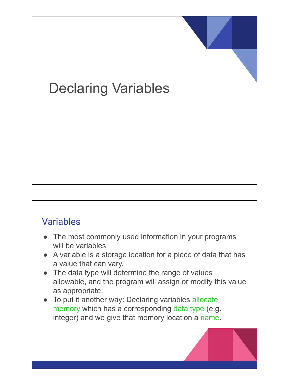# Declaring Variables

#### Variables

- The most commonly used information in your programs will be variables.
- A variable is a storage location for a piece of data that has a value that can vary.
- The data type will determine the range of values allowable, and the program will assign or modify this value as appropriate.
- To put it another way: Declaring variables allocate memory which has a corresponding data type (e.g. integer) and we give that memory location a name.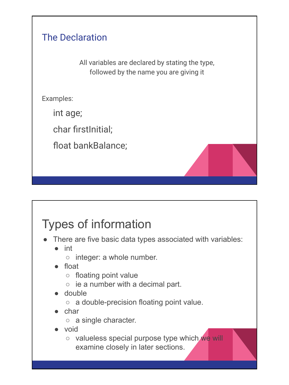#### The Declaration

All variables are declared by stating the type, followed by the name you are giving it

Examples:

int age;

char firstInitial:

float bankBalance;

### Types of information

- There are five basic data types associated with variables:
	- int
		- integer: a whole number.
	- float
		- floating point value
		- $\circ$  ie a number with a decimal part.
	- double
		- a double-precision floating point value.
	- char
		- a single character.
	- void
		- valueless special purpose type which we will examine closely in later sections.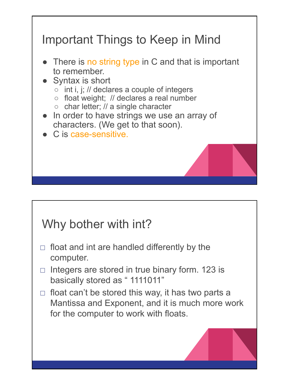

#### Why bother with int?

- $\Box$  float and int are handled differently by the computer.
- $\Box$  Integers are stored in true binary form. 123 is basically stored as "1111011"
- $\Box$  float can't be stored this way, it has two parts a Mantissa and Exponent, and it is much more work for the computer to work with floats.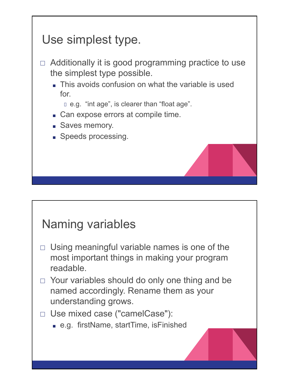# Use simplest type.  $\Box$  Additionally it is good programming practice to use the simplest type possible. ■ This avoids confusion on what the variable is used for. e.g. "int age", is clearer than "float age". ■ Can expose errors at compile time. ■ Saves memory. ■ Speeds processing.

## Naming variables

- $\Box$  Using meaningful variable names is one of the most important things in making your program readable.
- $\Box$  Your variables should do only one thing and be named accordingly. Rename them as your understanding grows.

#### □ Use mixed case ("camelCase"):

■ e.g. firstName, startTime, isFinished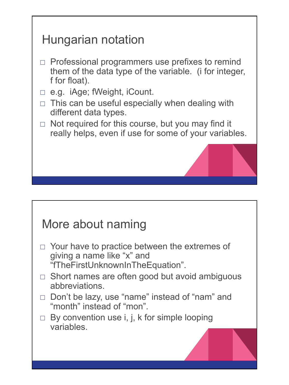# Hungarian notation  $\Box$  Professional programmers use prefixes to remind them of the data type of the variable. (i for integer, f for float).

- □ e.g. iAge; fWeight, iCount.
- $\Box$  This can be useful especially when dealing with different data types.
- $\Box$  Not required for this course, but you may find it really helps, even if use for some of your variables.

### More about naming

- $\Box$  Your have to practice between the extremes of giving a name like "x" and "fTheFirstUnknownInTheEquation".
- $\Box$  Short names are often good but avoid ambiguous abbreviations.
- □ Don't be lazy, use "name" instead of "nam" and "month" instead of "mon".
- □ By convention use i, j, k for simple looping variables.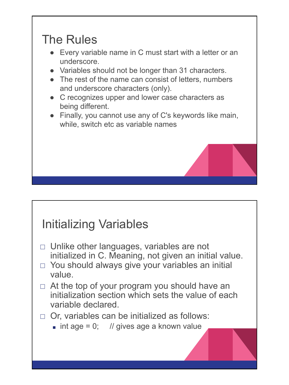### The Rules

- Every variable name in C must start with a letter or an underscore.
- Variables should not be longer than 31 characters.
- The rest of the name can consist of letters, numbers and underscore characters (only).
- C recognizes upper and lower case characters as being different.
- Finally, you cannot use any of C's keywords like main, while, switch etc as variable names

### Initializing Variables

- $\Box$  Unlike other languages, variables are not initialized in C. Meaning, not given an initial value.
- $\Box$  You should always give your variables an initial value.
- $\Box$  At the top of your program you should have an initialization section which sets the value of each variable declared.

#### $\Box$  Or, variables can be initialized as follows:

 $\blacksquare$  int age = 0; // gives age a known value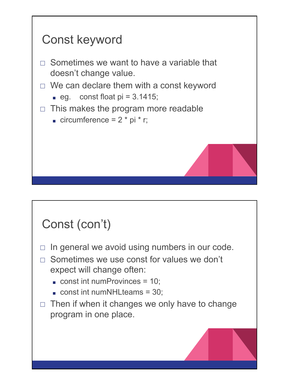

## Const (con't)

- $\Box$  In general we avoid using numbers in our code.
- $\Box$  Sometimes we use const for values we don't expect will change often:
	- $\Box$  const int numProvinces = 10;
	- $\Box$  const int numNHLteams = 30;
- $\Box$  Then if when it changes we only have to change program in one place.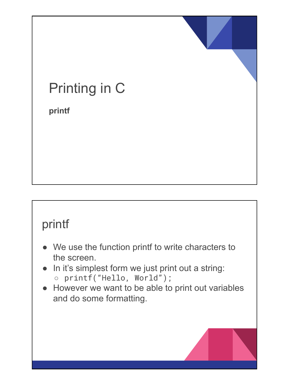# Printing in C

**printf**

#### printf

- We use the function printf to write characters to the screen.
- In it's simplest form we just print out a string: ○ printf("Hello, World");
- However we want to be able to print out variables and do some formatting.

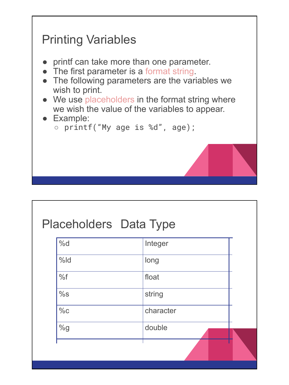

#### Placeholders Data Type

| %d     | Integer   |  |
|--------|-----------|--|
| $%$ ld | long      |  |
| %f     | float     |  |
| %s     | string    |  |
| $\%c$  | character |  |
| %g     | double    |  |
|        |           |  |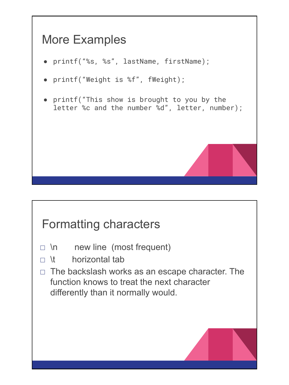## More Examples

- printf("%s, %s", lastName, firstName);
- printf("Weight is %f", fWeight);
- printf("This show is brought to you by the letter %c and the number %d", letter, number);

#### Formatting characters

- $\Box$  \n new line (most frequent)
- $\Box$  \t horizontal tab
- $\Box$  The backslash works as an escape character. The function knows to treat the next character differently than it normally would.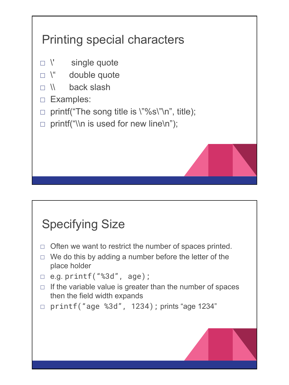# Printing special characters

- □ \' single quote
- $\Box$  \" double quote
- □ \\ back slash
- □ Examples:
- $\Box$  printf("The song title is \"%s\"\n", title);
- $\Box$  printf("\\n is used for new line\n");

## Specifying Size

- $\Box$  Often we want to restrict the number of spaces printed.
- $\Box$  We do this by adding a number before the letter of the place holder
- $\Box$  e.g. printf("%3d", age);
- $\Box$  If the variable value is greater than the number of spaces then the field width expands
- $\Box$  printf("age %3d", 1234); prints "age 1234"